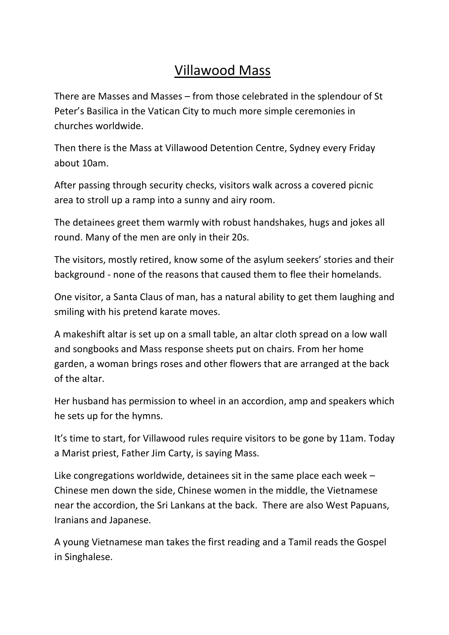## Villawood Mass

There are Masses and Masses – from those celebrated in the splendour of St Peter's Basilica in the Vatican City to much more simple ceremonies in churches worldwide.

Then there is the Mass at Villawood Detention Centre, Sydney every Friday about 10am.

After passing through security checks, visitors walk across a covered picnic area to stroll up a ramp into a sunny and airy room.

The detainees greet them warmly with robust handshakes, hugs and jokes all round. Many of the men are only in their 20s.

The visitors, mostly retired, know some of the asylum seekers' stories and their background - none of the reasons that caused them to flee their homelands.

One visitor, a Santa Claus of man, has a natural ability to get them laughing and smiling with his pretend karate moves.

A makeshift altar is set up on a small table, an altar cloth spread on a low wall and songbooks and Mass response sheets put on chairs. From her home garden, a woman brings roses and other flowers that are arranged at the back of the altar.

Her husband has permission to wheel in an accordion, amp and speakers which he sets up for the hymns.

It's time to start, for Villawood rules require visitors to be gone by 11am. Today a Marist priest, Father Jim Carty, is saying Mass.

Like congregations worldwide, detainees sit in the same place each week – Chinese men down the side, Chinese women in the middle, the Vietnamese near the accordion, the Sri Lankans at the back. There are also West Papuans, Iranians and Japanese.

A young Vietnamese man takes the first reading and a Tamil reads the Gospel in Singhalese.